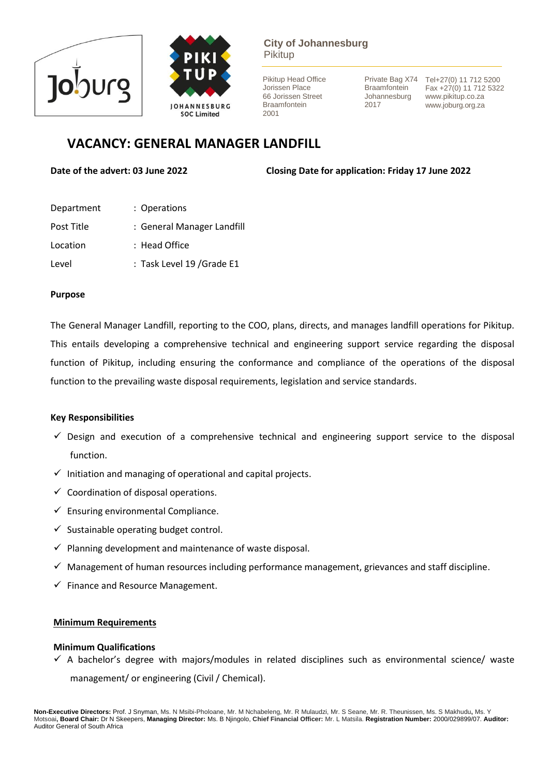



# **City of Johannesburg** Pikitup

Pikitup Head Office Jorissen Place 66 Jorissen Street Braamfontein 2001

**Braamfontein** Johannesburg 2017

Private Bag X74 Tel+27(0) 11 712 5200 Fax +27(0) 11 712 5322 www.pikitup.co.za www.joburg.org.za

# **VACANCY: GENERAL MANAGER LANDFILL**

**Date of the advert: 03 June 2022 Closing Date for application: Friday 17 June 2022** 

| Department | : Operations               |
|------------|----------------------------|
| Post Title | : General Manager Landfill |
| Location   | $:$ Head Office            |
| Level      | : Task Level 19 / Grade E1 |

## **Purpose**

The General Manager Landfill, reporting to the COO, plans, directs, and manages landfill operations for Pikitup. This entails developing a comprehensive technical and engineering support service regarding the disposal function of Pikitup, including ensuring the conformance and compliance of the operations of the disposal function to the prevailing waste disposal requirements, legislation and service standards.

# **Key Responsibilities**

- $\checkmark$  Design and execution of a comprehensive technical and engineering support service to the disposal function.
- $\checkmark$  Initiation and managing of operational and capital projects.
- $\checkmark$  Coordination of disposal operations.
- $\checkmark$  Ensuring environmental Compliance.
- $\checkmark$  Sustainable operating budget control.
- $\checkmark$  Planning development and maintenance of waste disposal.
- $\checkmark$  Management of human resources including performance management, grievances and staff discipline.
- $\checkmark$  Finance and Resource Management.

### **Minimum Requirements**

### **Minimum Qualifications**

 $\checkmark$  A bachelor's degree with majors/modules in related disciplines such as environmental science/ waste management/ or engineering (Civil / Chemical).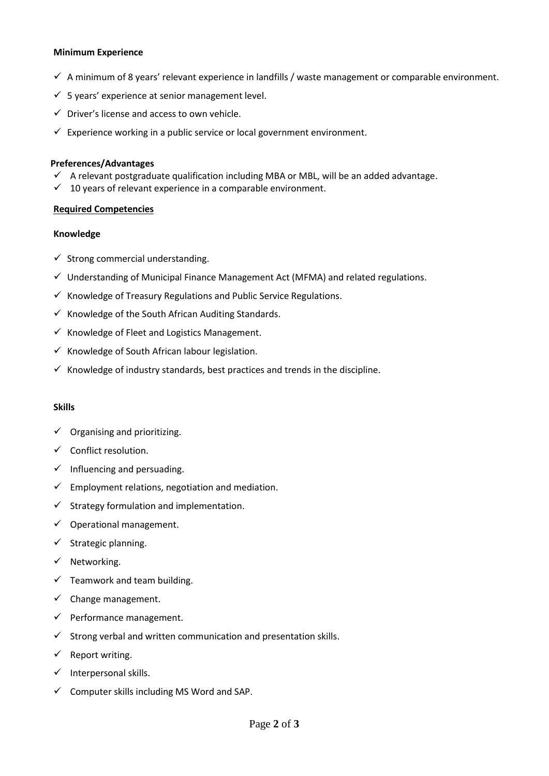#### **Minimum Experience**

- $\checkmark$  A minimum of 8 years' relevant experience in landfills / waste management or comparable environment.
- $\checkmark$  5 years' experience at senior management level.
- $\checkmark$  Driver's license and access to own vehicle.
- $\checkmark$  Experience working in a public service or local government environment.

#### **Preferences/Advantages**

- $\checkmark$  A relevant postgraduate qualification including MBA or MBL, will be an added advantage.
- $\checkmark$  10 years of relevant experience in a comparable environment.

### **Required Competencies**

#### **Knowledge**

- $\checkmark$  Strong commercial understanding.
- $\checkmark$  Understanding of Municipal Finance Management Act (MFMA) and related regulations.
- $\checkmark$  Knowledge of Treasury Regulations and Public Service Regulations.
- $\checkmark$  Knowledge of the South African Auditing Standards.
- $\checkmark$  Knowledge of Fleet and Logistics Management.
- $\checkmark$  Knowledge of South African labour legislation.
- $\checkmark$  Knowledge of industry standards, best practices and trends in the discipline.

#### **Skills**

- $\checkmark$  Organising and prioritizing.
- $\checkmark$  Conflict resolution.
- $\checkmark$  Influencing and persuading.
- $\checkmark$  Employment relations, negotiation and mediation.
- $\checkmark$  Strategy formulation and implementation.
- $\checkmark$  Operational management.
- $\checkmark$  Strategic planning.
- ✓ Networking.
- $\checkmark$  Teamwork and team building.
- $\checkmark$  Change management.
- $\checkmark$  Performance management.
- $\checkmark$  Strong verbal and written communication and presentation skills.
- $\checkmark$  Report writing.
- $\checkmark$  Interpersonal skills.
- $\checkmark$  Computer skills including MS Word and SAP.